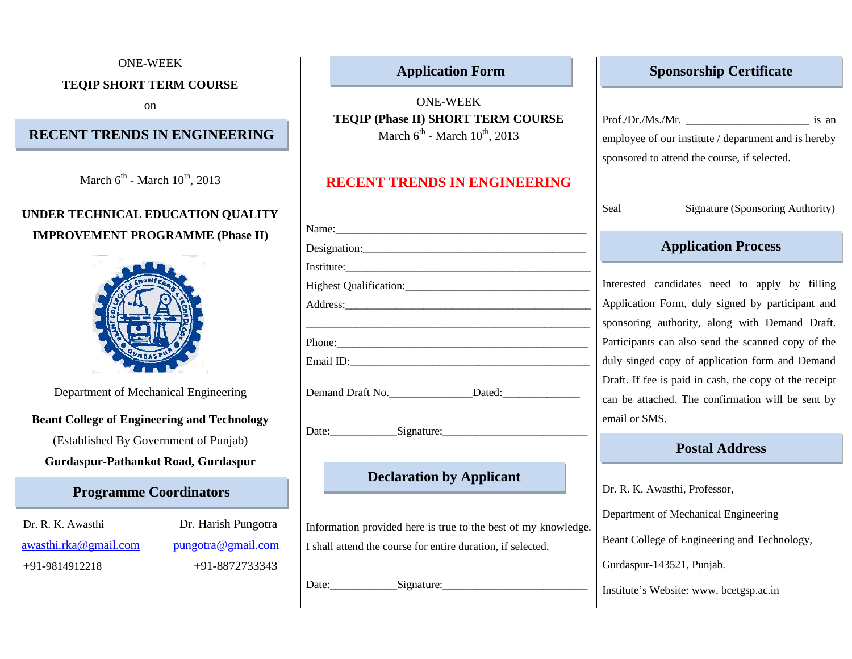#### ONE-WEEK

#### **TEQIP SHORT TERM COURSE**

on

# **RECENT TRENDS IN ENGINEERING**

March  $6^{\text{th}}$  - March  $10^{\text{th}}$ , 2013

# **UNDER TECHNICAL EDUCATION QUALITY IMPROVEMENT PROGRAMME (Phase II)**



Department of Mechanical Engineering

### **Beant College of Engineering and Technology**

(Established By Government of Punjab)

#### **Gurdaspur-Pathankot Road, Gurdaspur**

#### **Programme Coordinators**

Dr. R. K. Awasthi Dr. Harish Pungotra awasthi.rka@gmail.com pungotra@gmail.com +91-9814912218 +91-8872733343

# **Application Form**

ONE-WEEK **TEQIP (Phase II) SHORT TERM COURSE** March  $6^{\text{th}}$  - March  $10^{\text{th}}$ , 2013

# **RECENT TRENDS IN ENGINEERING**

|                             | wuu      |
|-----------------------------|----------|
| Name:                       |          |
| Designation:                |          |
| Institute:                  |          |
|                             | Interest |
|                             | Applica  |
|                             | sponsor  |
| Phone:                      | Particip |
|                             | duly si  |
|                             | Draft. I |
|                             | can be   |
|                             | email o  |
| Date: Signature: Signature. |          |

# **Declaration by Applicant**

Information provided here is true to the best of my knowledge. I shall attend the course for entire duration, if selected.

Date: Signature:

### **Sponsorship Certificate**

Prof./Dr./Ms./Mr. is an

employee of our institute / department and is hereby sponsored to attend the course, if selected.

Seal Signature (Sponsoring Authority)

## **Application Process**

Interested candidates need to apply by filling Application Form, duly signed by participant and sponsoring authority, along with Demand Draft. Participants can also send the scanned copy of the duly singed copy of application form and Demand Draft. If fee is paid in cash, the copy of the receipt can be attached. The confirmation will be sent by email or SMS.

### **Postal Address**

Dr. R. K. Awasthi, Professor,

Department of Mechanical Engineering

Beant College of Engineering and Technology,

Gurdaspur-143521, Punjab.

Institute's Website: www. bcetgsp.ac.in